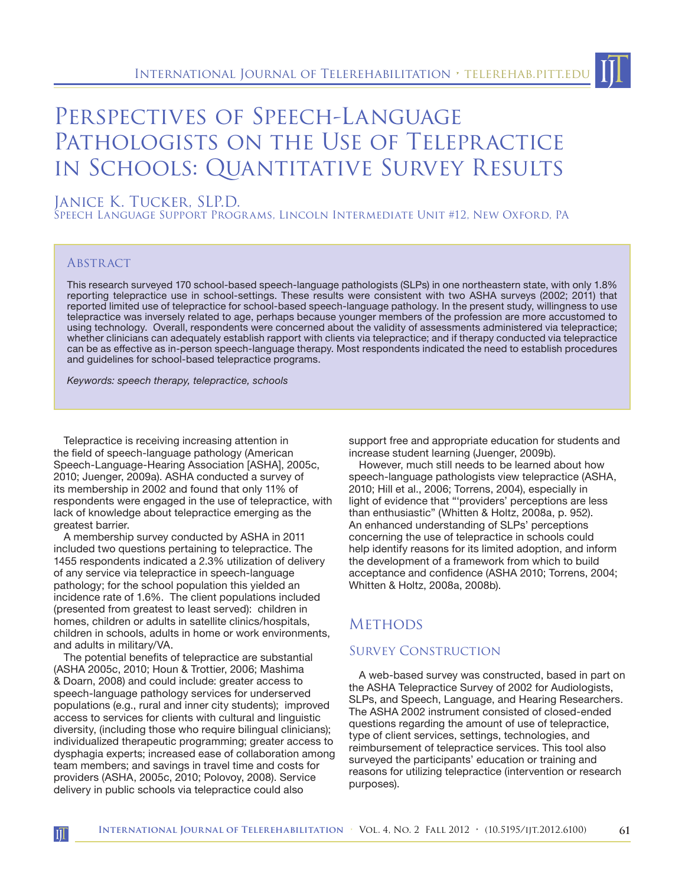# PERSPECTIVES OF SPEECH-LANGUAGE PATHOLOGISTS ON THE USE OF TELEPRACTICE in Schools: Quantitative Survey Results

# Janice K. Tucker, SLP.D.

Speech Language Support Programs, Lincoln Intermediate Unit #12, New Oxford, PA

#### **ABSTRACT**

II

This research surveyed 170 school-based speech-language pathologists (SLPs) in one northeastern state, with only 1.8% reporting telepractice use in school-settings. These results were consistent with two ASHA surveys (2002; 2011) that reported limited use of telepractice for school-based speech-language pathology. In the present study, willingness to use telepractice was inversely related to age, perhaps because younger members of the profession are more accustomed to using technology. Overall, respondents were concerned about the validity of assessments administered via telepractice; whether clinicians can adequately establish rapport with clients via telepractice; and if therapy conducted via telepractice can be as effective as in-person speech-language therapy. Most respondents indicated the need to establish procedures and guidelines for school-based telepractice programs.

*Keywords: speech therapy, telepractice, schools*

Telepractice is receiving increasing attention in the field of speech-language pathology (American Speech-Language-Hearing Association [ASHA], 2005c, 2010; Juenger, 2009a). ASHA conducted a survey of its membership in 2002 and found that only 11% of respondents were engaged in the use of telepractice, with lack of knowledge about telepractice emerging as the greatest barrier.

A membership survey conducted by ASHA in 2011 included two questions pertaining to telepractice. The 1455 respondents indicated a 2.3% utilization of delivery of any service via telepractice in speech-language pathology; for the school population this yielded an incidence rate of 1.6%. The client populations included (presented from greatest to least served): children in homes, children or adults in satellite clinics/hospitals, children in schools, adults in home or work environments, and adults in military/VA.

The potential benefits of telepractice are substantial (ASHA 2005c, 2010; Houn & Trottier, 2006; Mashima & Doarn, 2008) and could include: greater access to speech-language pathology services for underserved populations (e.g., rural and inner city students); improved access to services for clients with cultural and linguistic diversity, (including those who require bilingual clinicians); individualized therapeutic programming; greater access to dysphagia experts; increased ease of collaboration among team members; and savings in travel time and costs for providers (ASHA, 2005c, 2010; Polovoy, 2008). Service delivery in public schools via telepractice could also

support free and appropriate education for students and increase student learning (Juenger, 2009b).

However, much still needs to be learned about how speech-language pathologists view telepractice (ASHA, 2010; Hill et al., 2006; Torrens, 2004), especially in light of evidence that "'providers' perceptions are less than enthusiastic" (Whitten & Holtz, 2008a, p. 952). An enhanced understanding of SLPs' perceptions concerning the use of telepractice in schools could help identify reasons for its limited adoption, and inform the development of a framework from which to build acceptance and confidence (ASHA 2010; Torrens, 2004; Whitten & Holtz, 2008a, 2008b).

# **METHODS**

# SURVEY CONSTRUCTION

A web-based survey was constructed, based in part on the ASHA Telepractice Survey of 2002 for Audiologists, SLPs, and Speech, Language, and Hearing Researchers. The ASHA 2002 instrument consisted of closed-ended questions regarding the amount of use of telepractice, type of client services, settings, technologies, and reimbursement of telepractice services. This tool also surveyed the participants' education or training and reasons for utilizing telepractice (intervention or research purposes).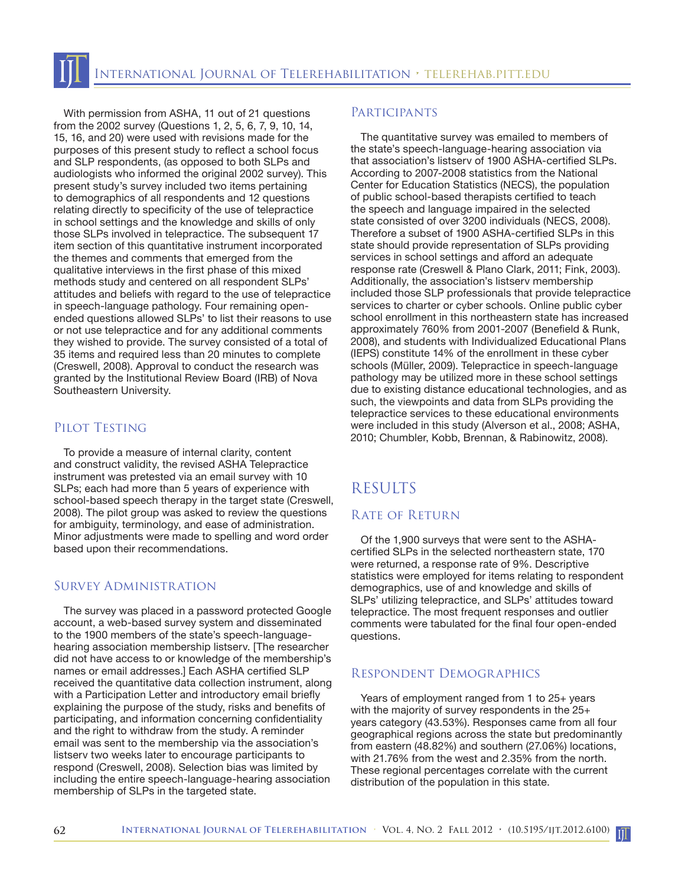With permission from ASHA, 11 out of 21 questions from the 2002 survey (Questions 1, 2, 5, 6, 7, 9, 10, 14, 15, 16, and 20) were used with revisions made for the purposes of this present study to reflect a school focus and SLP respondents, (as opposed to both SLPs and audiologists who informed the original 2002 survey). This present study's survey included two items pertaining to demographics of all respondents and 12 questions relating directly to specificity of the use of telepractice in school settings and the knowledge and skills of only those SLPs involved in telepractice. The subsequent 17 item section of this quantitative instrument incorporated the themes and comments that emerged from the qualitative interviews in the first phase of this mixed methods study and centered on all respondent SLPs' attitudes and beliefs with regard to the use of telepractice in speech-language pathology. Four remaining openended questions allowed SLPs' to list their reasons to use or not use telepractice and for any additional comments they wished to provide. The survey consisted of a total of 35 items and required less than 20 minutes to complete (Creswell, 2008). Approval to conduct the research was granted by the Institutional Review Board (IRB) of Nova Southeastern University.

# PILOT TESTING

To provide a measure of internal clarity, content and construct validity, the revised ASHA Telepractice instrument was pretested via an email survey with 10 SLPs; each had more than 5 years of experience with school-based speech therapy in the target state (Creswell, 2008). The pilot group was asked to review the questions for ambiguity, terminology, and ease of administration. Minor adjustments were made to spelling and word order based upon their recommendations.

# Survey Administration

The survey was placed in a password protected Google account, a web-based survey system and disseminated to the 1900 members of the state's speech-languagehearing association membership listserv. [The researcher did not have access to or knowledge of the membership's names or email addresses.] Each ASHA certified SLP received the quantitative data collection instrument, along with a Participation Letter and introductory email briefly explaining the purpose of the study, risks and benefits of participating, and information concerning confidentiality and the right to withdraw from the study. A reminder email was sent to the membership via the association's listserv two weeks later to encourage participants to respond (Creswell, 2008). Selection bias was limited by including the entire speech-language-hearing association membership of SLPs in the targeted state.

## **PARTICIPANTS**

The quantitative survey was emailed to members of the state's speech-language-hearing association via that association's listserv of 1900 ASHA-certified SLPs. According to 2007-2008 statistics from the National Center for Education Statistics (NECS), the population of public school-based therapists certified to teach the speech and language impaired in the selected state consisted of over 3200 individuals (NECS, 2008). Therefore a subset of 1900 ASHA-certified SLPs in this state should provide representation of SLPs providing services in school settings and afford an adequate response rate (Creswell & Plano Clark, 2011; Fink, 2003). Additionally, the association's listserv membership included those SLP professionals that provide telepractice services to charter or cyber schools. Online public cyber school enrollment in this northeastern state has increased approximately 760% from 2001-2007 (Benefield & Runk, 2008), and students with Individualized Educational Plans (IEPS) constitute 14% of the enrollment in these cyber schools (Müller, 2009). Telepractice in speech-language pathology may be utilized more in these school settings due to existing distance educational technologies, and as such, the viewpoints and data from SLPs providing the telepractice services to these educational environments were included in this study (Alverson et al., 2008; ASHA, 2010; Chumbler, Kobb, Brennan, & Rabinowitz, 2008).

# **RESULTS**

# Rate of Return

Of the 1,900 surveys that were sent to the ASHAcertified SLPs in the selected northeastern state, 170 were returned, a response rate of 9%. Descriptive statistics were employed for items relating to respondent demographics, use of and knowledge and skills of SLPs' utilizing telepractice, and SLPs' attitudes toward telepractice. The most frequent responses and outlier comments were tabulated for the final four open-ended questions.

# Respondent Demographics

Years of employment ranged from 1 to 25+ years with the majority of survey respondents in the 25+ years category (43.53%). Responses came from all four geographical regions across the state but predominantly from eastern (48.82%) and southern (27.06%) locations, with 21.76% from the west and 2.35% from the north. These regional percentages correlate with the current distribution of the population in this state.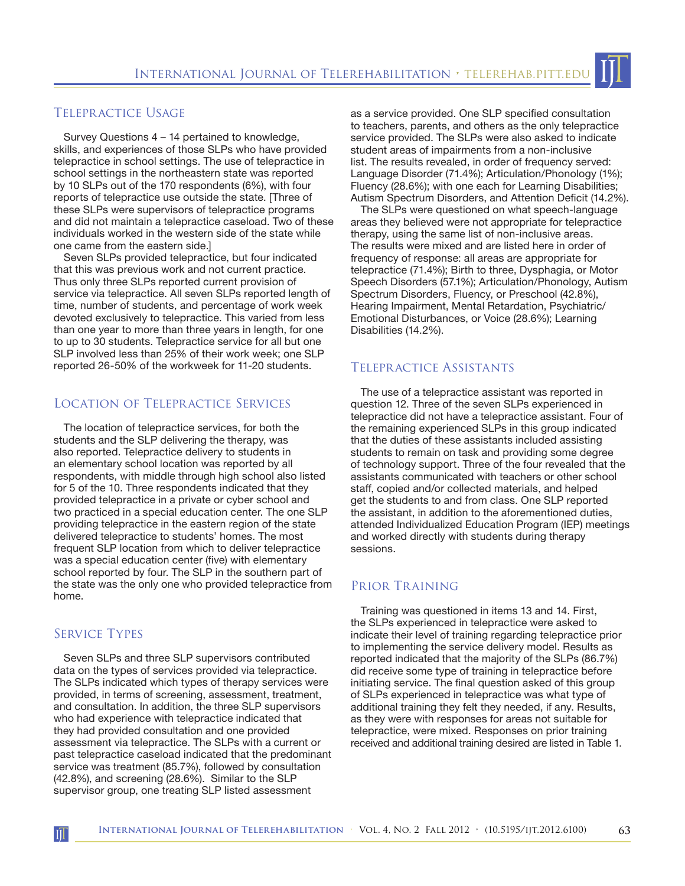

Survey Questions 4 – 14 pertained to knowledge, skills, and experiences of those SLPs who have provided telepractice in school settings. The use of telepractice in school settings in the northeastern state was reported by 10 SLPs out of the 170 respondents (6%), with four reports of telepractice use outside the state. [Three of these SLPs were supervisors of telepractice programs and did not maintain a telepractice caseload. Two of these individuals worked in the western side of the state while one came from the eastern side.]

Seven SLPs provided telepractice, but four indicated that this was previous work and not current practice. Thus only three SLPs reported current provision of service via telepractice. All seven SLPs reported length of time, number of students, and percentage of work week devoted exclusively to telepractice. This varied from less than one year to more than three years in length, for one to up to 30 students. Telepractice service for all but one SLP involved less than 25% of their work week; one SLP reported 26-50% of the workweek for 11-20 students.

# Location of Telepractice Services

The location of telepractice services, for both the students and the SLP delivering the therapy, was also reported. Telepractice delivery to students in an elementary school location was reported by all respondents, with middle through high school also listed for 5 of the 10. Three respondents indicated that they provided telepractice in a private or cyber school and two practiced in a special education center. The one SLP providing telepractice in the eastern region of the state delivered telepractice to students' homes. The most frequent SLP location from which to deliver telepractice was a special education center (five) with elementary school reported by four. The SLP in the southern part of the state was the only one who provided telepractice from home.

## SERVICE TYPES

 $\prod$ 

Seven SLPs and three SLP supervisors contributed data on the types of services provided via telepractice. The SLPs indicated which types of therapy services were provided, in terms of screening, assessment, treatment, and consultation. In addition, the three SLP supervisors who had experience with telepractice indicated that they had provided consultation and one provided assessment via telepractice. The SLPs with a current or past telepractice caseload indicated that the predominant service was treatment (85.7%), followed by consultation (42.8%), and screening (28.6%). Similar to the SLP supervisor group, one treating SLP listed assessment

as a service provided. One SLP specified consultation to teachers, parents, and others as the only telepractice service provided. The SLPs were also asked to indicate student areas of impairments from a non-inclusive list. The results revealed, in order of frequency served: Language Disorder (71.4%); Articulation/Phonology (1%); Fluency (28.6%); with one each for Learning Disabilities; Autism Spectrum Disorders, and Attention Deficit (14.2%).

The SLPs were questioned on what speech-language areas they believed were not appropriate for telepractice therapy, using the same list of non-inclusive areas. The results were mixed and are listed here in order of frequency of response: all areas are appropriate for telepractice (71.4%); Birth to three, Dysphagia, or Motor Speech Disorders (57.1%); Articulation/Phonology, Autism Spectrum Disorders, Fluency, or Preschool (42.8%), Hearing Impairment, Mental Retardation, Psychiatric/ Emotional Disturbances, or Voice (28.6%); Learning Disabilities (14.2%).

### Telepractice Assistants

The use of a telepractice assistant was reported in question 12. Three of the seven SLPs experienced in telepractice did not have a telepractice assistant. Four of the remaining experienced SLPs in this group indicated that the duties of these assistants included assisting students to remain on task and providing some degree of technology support. Three of the four revealed that the assistants communicated with teachers or other school staff, copied and/or collected materials, and helped get the students to and from class. One SLP reported the assistant, in addition to the aforementioned duties, attended Individualized Education Program (IEP) meetings and worked directly with students during therapy sessions.

# Prior Training

Training was questioned in items 13 and 14. First, the SLPs experienced in telepractice were asked to indicate their level of training regarding telepractice prior to implementing the service delivery model. Results as reported indicated that the majority of the SLPs (86.7%) did receive some type of training in telepractice before initiating service. The final question asked of this group of SLPs experienced in telepractice was what type of additional training they felt they needed, if any. Results, as they were with responses for areas not suitable for telepractice, were mixed. Responses on prior training received and additional training desired are listed in Table 1.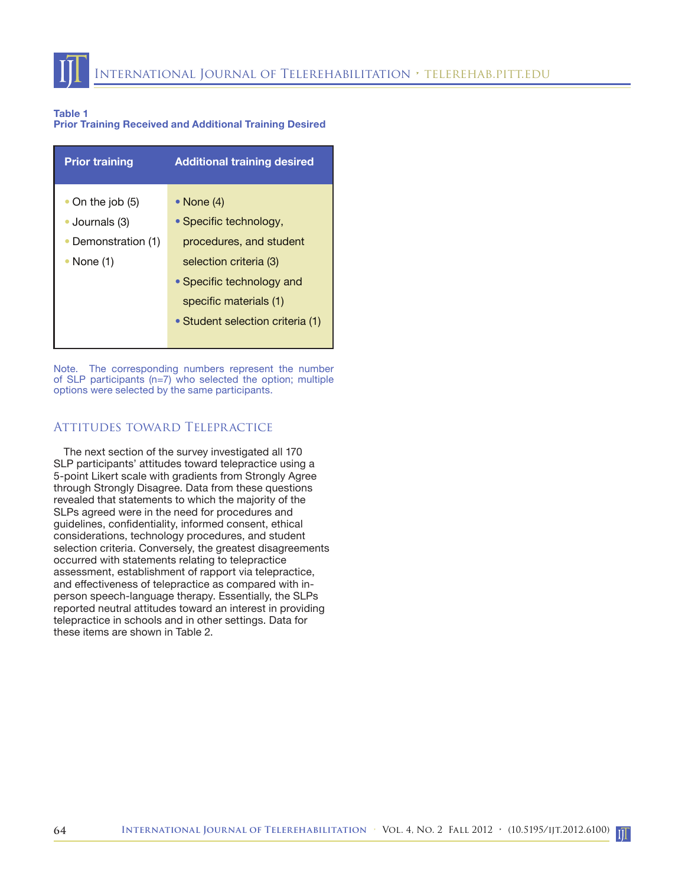#### **Table 1**

**Prior Training Received and Additional Training Desired**

| <b>Prior training</b> | <b>Additional training desired</b> |
|-----------------------|------------------------------------|
| • On the job $(5)$    | • None $(4)$                       |
| • Journals (3)        | • Specific technology,             |
| Demonstration (1)     | procedures, and student            |
| None (1)              | selection criteria (3)             |
|                       | • Specific technology and          |
|                       | specific materials (1)             |
|                       | • Student selection criteria (1)   |

Note. The corresponding numbers represent the number of SLP participants (n=7) who selected the option; multiple options were selected by the same participants.

# Attitudes toward Telepractice

The next section of the survey investigated all 170 SLP participants' attitudes toward telepractice using a 5-point Likert scale with gradients from Strongly Agree through Strongly Disagree. Data from these questions revealed that statements to which the majority of the SLPs agreed were in the need for procedures and guidelines, confidentiality, informed consent, ethical considerations, technology procedures, and student selection criteria. Conversely, the greatest disagreements occurred with statements relating to telepractice assessment, establishment of rapport via telepractice, and effectiveness of telepractice as compared with inperson speech-language therapy. Essentially, the SLPs reported neutral attitudes toward an interest in providing telepractice in schools and in other settings. Data for these items are shown in Table 2.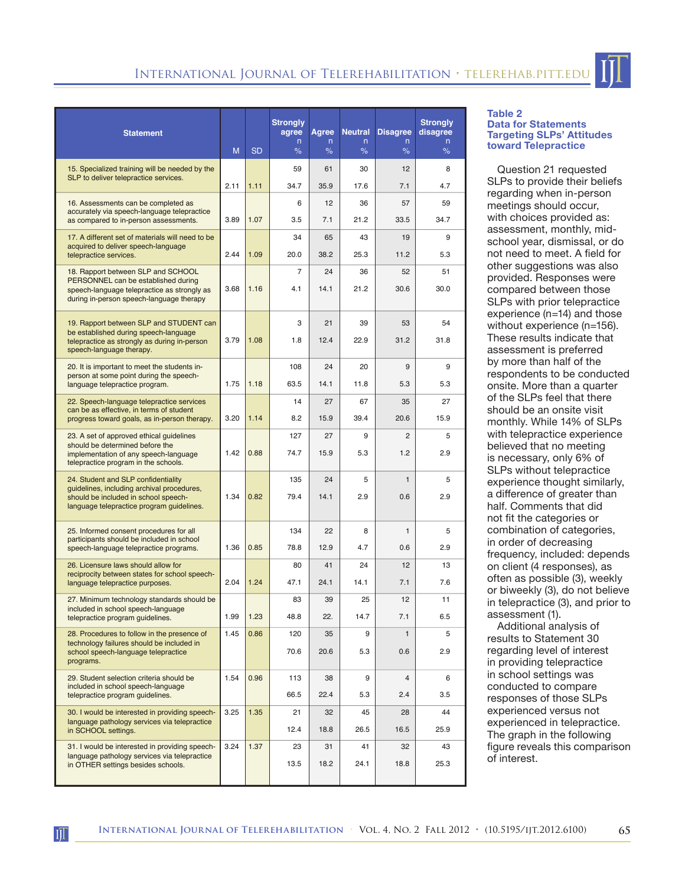| <b>Statement</b>                                                                                                                                                     | M    | <b>SD</b> | <b>Strongly</b><br>agree<br>n<br>% | <b>Agree</b><br>n<br>$\%$ | <b>Neutral</b><br>$\mathsf{n}$<br>$\%$ | <b>Disagree</b><br>n<br>$\%$ | <b>Strongly</b><br>disagree<br>n.<br>$\%$ |
|----------------------------------------------------------------------------------------------------------------------------------------------------------------------|------|-----------|------------------------------------|---------------------------|----------------------------------------|------------------------------|-------------------------------------------|
| 15. Specialized training will be needed by the<br>SLP to deliver telepractice services.                                                                              |      |           | 59                                 | 61                        | 30                                     | 12                           | 8                                         |
|                                                                                                                                                                      | 2.11 | 1.11      | 34.7                               | 35.9                      | 17.6                                   | 7.1                          | 4.7                                       |
| 16. Assessments can be completed as<br>accurately via speech-language telepractice<br>as compared to in-person assessments.                                          | 3.89 | 1.07      | 6<br>3.5                           | 12<br>7.1                 | 36<br>21.2                             | 57<br>33.5                   | 59<br>34.7                                |
| 17. A different set of materials will need to be                                                                                                                     |      |           | 34                                 | 65                        | 43                                     | 19                           | 9                                         |
| acquired to deliver speech-language<br>telepractice services.                                                                                                        | 2.44 | 1.09      | 20.0                               | 38.2                      | 25.3                                   | 11.2                         | 5.3                                       |
| 18. Rapport between SLP and SCHOOL<br>PERSONNEL can be established during<br>speech-language telepractice as strongly as<br>during in-person speech-language therapy | 3.68 | 1.16      | 7<br>4.1                           | 24<br>14.1                | 36<br>21.2                             | 52<br>30.6                   | 51<br>30.0                                |
| 19. Rapport between SLP and STUDENT can                                                                                                                              |      |           | 3                                  | 21                        | 39                                     | 53                           | 54                                        |
| be established during speech-language<br>telepractice as strongly as during in-person<br>speech-language therapy.                                                    | 3.79 | 1.08      | 1.8                                | 12.4                      | 22.9                                   | 31.2                         | 31.8                                      |
| 20. It is important to meet the students in-                                                                                                                         |      |           | 108                                | 24                        | 20                                     | 9                            | 9                                         |
| person at some point during the speech-<br>language telepractice program.                                                                                            | 1.75 | 1.18      | 63.5                               | 14.1                      | 11.8                                   | 5.3                          | 5.3                                       |
| 22. Speech-language telepractice services<br>can be as effective, in terms of student<br>progress toward goals, as in-person therapy.                                | 3.20 | 1.14      | 14<br>8.2                          | 27<br>15.9                | 67<br>39.4                             | 35<br>20.6                   | 27<br>15.9                                |
| 23. A set of approved ethical guidelines                                                                                                                             |      |           | 127                                | 27                        | 9                                      | 2                            | 5                                         |
| should be determined before the<br>implementation of any speech-language<br>telepractice program in the schools.                                                     | 1.42 | 0.88      | 74.7                               | 15.9                      | 5.3                                    | 1.2                          | 2.9                                       |
| 24. Student and SLP confidentiality                                                                                                                                  |      |           | 135                                | 24                        | 5                                      | $\mathbf{1}$                 | 5                                         |
| guidelines, including archival procedures,<br>should be included in school speech-<br>language telepractice program guidelines.                                      | 1.34 | 0.82      | 79.4                               | 14.1                      | 2.9                                    | 0.6                          | 2.9                                       |
| 25. Informed consent procedures for all                                                                                                                              |      |           | 134                                | 22                        | 8                                      | 1                            | 5                                         |
| participants should be included in school<br>speech-language telepractice programs.                                                                                  | 1.36 | 0.85      | 78.8                               | 12.9                      | 4.7                                    | 0.6                          | 2.9                                       |
| 26. Licensure laws should allow for<br>reciprocity between states for school speech-                                                                                 |      |           | 80                                 | 41                        | 24                                     | 12                           | 13                                        |
| language telepractice purposes.                                                                                                                                      | 2.04 | 1.24      | 47.1                               | 24.1                      | 14.1                                   | 7.1                          | 7.6                                       |
| 27. Minimum technology standards should be<br>included in school speech-language                                                                                     |      |           | 83                                 | 39                        | 25                                     | 12                           | 11                                        |
| telepractice program guidelines.                                                                                                                                     | 1.99 | 1.23      | 48.8                               | 22.                       | 14.7                                   | 7.1                          | 6.5                                       |
| 28. Procedures to follow in the presence of<br>technology failures should be included in                                                                             | 1.45 | 0.86      | 120                                | 35                        | 9                                      | $\mathbf{1}$                 | 5                                         |
| school speech-language telepractice<br>programs.                                                                                                                     |      |           | 70.6                               | 20.6                      | 5.3                                    | 0.6                          | 2.9                                       |
| 29. Student selection criteria should be<br>included in school speech-language                                                                                       | 1.54 | 0.96      | 113                                | 38                        | 9                                      | 4                            | 6                                         |
| telepractice program guidelines.                                                                                                                                     |      |           | 66.5                               | 22.4                      | 5.3                                    | 2.4                          | 3.5                                       |
| 30. I would be interested in providing speech-<br>language pathology services via telepractice<br>in SCHOOL settings.                                                | 3.25 | 1.35      | 21<br>12.4                         | 32<br>18.8                | 45<br>26.5                             | 28<br>16.5                   | 44<br>25.9                                |
| 31. I would be interested in providing speech-                                                                                                                       | 3.24 | 1.37      | 23                                 | 31                        | 41                                     | 32                           | 43                                        |
| language pathology services via telepractice<br>in OTHER settings besides schools.                                                                                   |      |           | 13.5                               | 18.2                      | 24.1                                   | 18.8                         | 25.3                                      |

 $\mathbb{H}^+$ 

#### **Table 2 Data for Statements Targeting SLPs' Attitudes toward Telepractice**

Question 21 requested SLPs to provide their beliefs regarding when in-person meetings should occur, with choices provided as: assessment, monthly, midschool year, dismissal, or do not need to meet. A field for other suggestions was also provided. Responses were compared between those SLPs with prior telepractice experience (n=14) and those without experience (n=156). These results indicate that assessment is preferred by more than half of the respondents to be conducted onsite. More than a quarter of the SLPs feel that there should be an onsite visit monthly. While 14% of SLPs with telepractice experience believed that no meeting is necessary, only 6% of SLPs without telepractice experience thought similarly. a difference of greater than half. Comments that did not fit the categories or combination of categories, in order of decreasing frequency, included: depends on client (4 responses), as often as possible (3), weekly or biweekly (3), do not believe in telepractice (3), and prior to assessment (1).

Additional analysis of results to Statement 30 regarding level of interest in providing telepractice in school settings was conducted to compare responses of those SLPs experienced versus not experienced in telepractice. The graph in the following figure reveals this comparison of interest.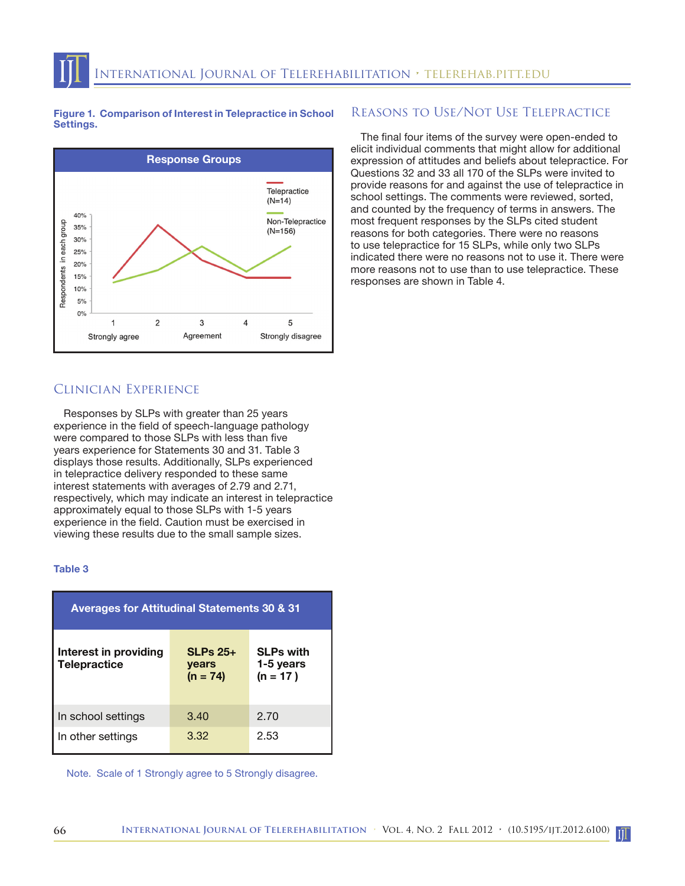#### **Figure 1. Comparison of Interest in Telepractice in School Settings.**



# Clinician Experience

Responses by SLPs with greater than 25 years experience in the field of speech-language pathology were compared to those SLPs with less than five years experience for Statements 30 and 31. Table 3 displays those results. Additionally, SLPs experienced in telepractice delivery responded to these same interest statements with averages of 2.79 and 2.71, respectively, which may indicate an interest in telepractice approximately equal to those SLPs with 1-5 years experience in the field. Caution must be exercised in viewing these results due to the small sample sizes.

#### **Table 3**

| <b>Averages for Attitudinal Statements 30 &amp; 31</b> |                                   |                                             |  |  |  |
|--------------------------------------------------------|-----------------------------------|---------------------------------------------|--|--|--|
| Interest in providing<br><b>Telepractice</b>           | $SLPs$ 25+<br>vears<br>$(n = 74)$ | <b>SLPs with</b><br>1-5 years<br>$(n = 17)$ |  |  |  |
| In school settings                                     | 3.40                              | 2.70                                        |  |  |  |
| In other settings                                      | 3.32                              | 2.53                                        |  |  |  |

Note. Scale of 1 Strongly agree to 5 Strongly disagree.

## Reasons to Use/Not Use Telepractice

The final four items of the survey were open-ended to elicit individual comments that might allow for additional expression of attitudes and beliefs about telepractice. For Questions 32 and 33 all 170 of the SLPs were invited to provide reasons for and against the use of telepractice in school settings. The comments were reviewed, sorted, and counted by the frequency of terms in answers. The most frequent responses by the SLPs cited student reasons for both categories. There were no reasons to use telepractice for 15 SLPs, while only two SLPs indicated there were no reasons not to use it. There were more reasons not to use than to use telepractice. These responses are shown in Table 4.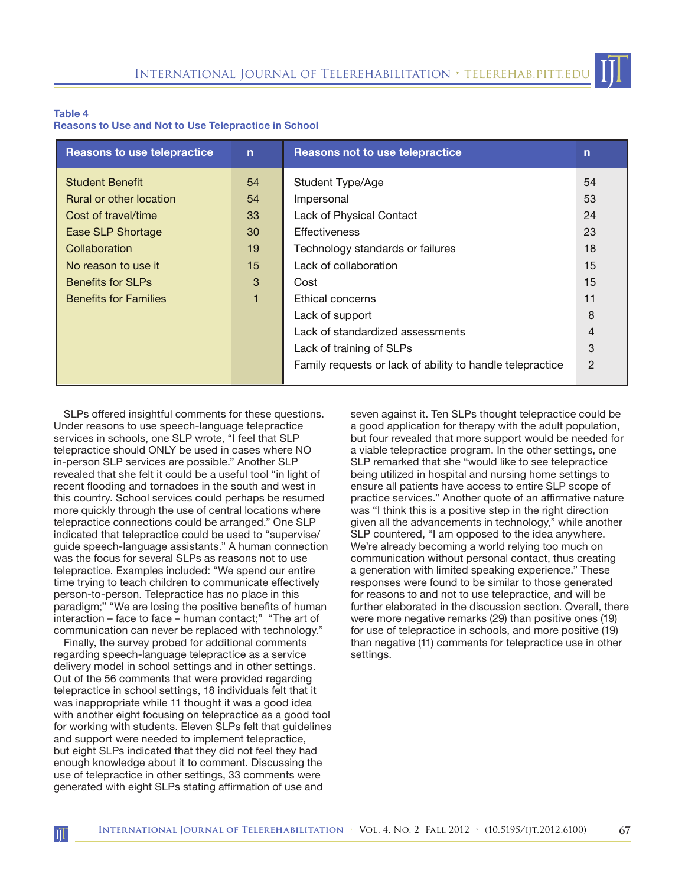#### **Table 4**

 $\prod$ 

**Reasons to Use and Not to Use Telepractice in School** 

| <b>Reasons to use telepractice</b> | $\mathbf n$ | <b>Reasons not to use telepractice</b>                    | n  |
|------------------------------------|-------------|-----------------------------------------------------------|----|
| <b>Student Benefit</b>             | 54          | Student Type/Age                                          | 54 |
| Rural or other location            | 54          | Impersonal                                                | 53 |
| Cost of travel/time                | 33          | Lack of Physical Contact                                  | 24 |
| Ease SLP Shortage                  | 30          | Effectiveness                                             | 23 |
| Collaboration                      | 19          | Technology standards or failures                          | 18 |
| No reason to use it                | 15          | Lack of collaboration                                     | 15 |
| Benefits for SLPs                  | 3           | Cost                                                      | 15 |
| <b>Benefits for Families</b>       | 1           | Ethical concerns                                          | 11 |
|                                    |             | Lack of support                                           | 8  |
|                                    |             | Lack of standardized assessments                          | 4  |
|                                    |             | Lack of training of SLPs                                  | 3  |
|                                    |             | Family requests or lack of ability to handle telepractice | 2  |

SLPs offered insightful comments for these questions. Under reasons to use speech-language telepractice services in schools, one SLP wrote, "I feel that SLP telepractice should ONLY be used in cases where NO in-person SLP services are possible." Another SLP revealed that she felt it could be a useful tool "in light of recent flooding and tornadoes in the south and west in this country. School services could perhaps be resumed more quickly through the use of central locations where telepractice connections could be arranged." One SLP indicated that telepractice could be used to "supervise/ guide speech-language assistants." A human connection was the focus for several SLPs as reasons not to use telepractice. Examples included: "We spend our entire time trying to teach children to communicate effectively person-to-person. Telepractice has no place in this paradigm;" "We are losing the positive benefits of human interaction – face to face – human contact;" "The art of communication can never be replaced with technology."

Finally, the survey probed for additional comments regarding speech-language telepractice as a service delivery model in school settings and in other settings. Out of the 56 comments that were provided regarding telepractice in school settings, 18 individuals felt that it was inappropriate while 11 thought it was a good idea with another eight focusing on telepractice as a good tool for working with students. Eleven SLPs felt that guidelines and support were needed to implement telepractice, but eight SLPs indicated that they did not feel they had enough knowledge about it to comment. Discussing the use of telepractice in other settings, 33 comments were generated with eight SLPs stating affirmation of use and

seven against it. Ten SLPs thought telepractice could be a good application for therapy with the adult population, but four revealed that more support would be needed for a viable telepractice program. In the other settings, one SLP remarked that she "would like to see telepractice being utilized in hospital and nursing home settings to ensure all patients have access to entire SLP scope of practice services." Another quote of an affirmative nature was "I think this is a positive step in the right direction given all the advancements in technology," while another SLP countered, "I am opposed to the idea anywhere. We're already becoming a world relying too much on communication without personal contact, thus creating a generation with limited speaking experience." These responses were found to be similar to those generated for reasons to and not to use telepractice, and will be further elaborated in the discussion section. Overall, there were more negative remarks (29) than positive ones (19) for use of telepractice in schools, and more positive (19) than negative (11) comments for telepractice use in other settings.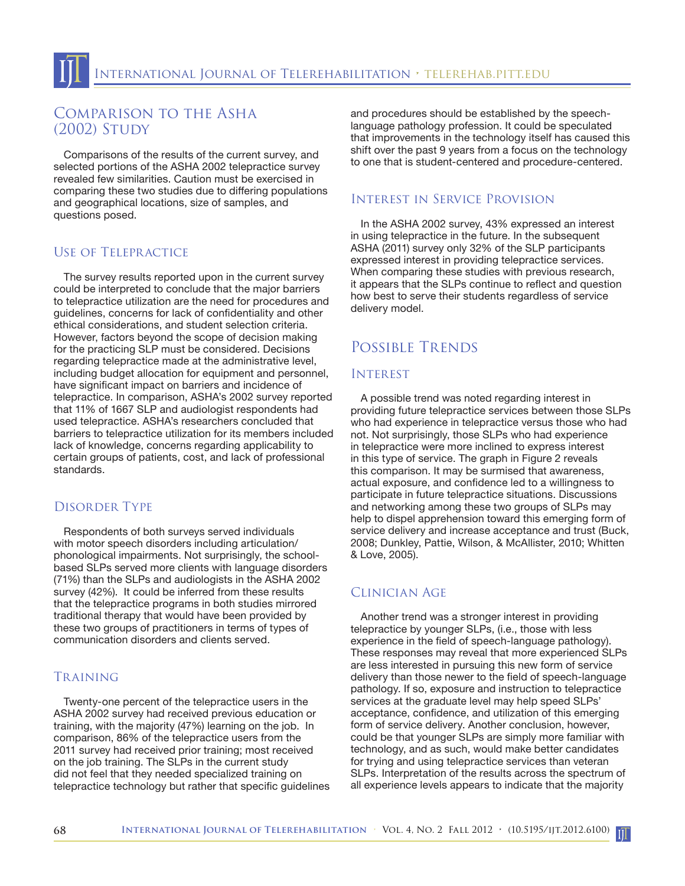# Comparison to the Asha (2002) Study

Comparisons of the results of the current survey, and selected portions of the ASHA 2002 telepractice survey revealed few similarities. Caution must be exercised in comparing these two studies due to differing populations and geographical locations, size of samples, and questions posed.

# Use of Telepractice

The survey results reported upon in the current survey could be interpreted to conclude that the major barriers to telepractice utilization are the need for procedures and guidelines, concerns for lack of confidentiality and other ethical considerations, and student selection criteria. However, factors beyond the scope of decision making for the practicing SLP must be considered. Decisions regarding telepractice made at the administrative level, including budget allocation for equipment and personnel, have significant impact on barriers and incidence of telepractice. In comparison, ASHA's 2002 survey reported that 11% of 1667 SLP and audiologist respondents had used telepractice. ASHA's researchers concluded that barriers to telepractice utilization for its members included lack of knowledge, concerns regarding applicability to certain groups of patients, cost, and lack of professional standards.

# DISORDER TYPE

Respondents of both surveys served individuals with motor speech disorders including articulation/ phonological impairments. Not surprisingly, the schoolbased SLPs served more clients with language disorders (71%) than the SLPs and audiologists in the ASHA 2002 survey (42%). It could be inferred from these results that the telepractice programs in both studies mirrored traditional therapy that would have been provided by these two groups of practitioners in terms of types of communication disorders and clients served.

# **TRAINING**

Twenty-one percent of the telepractice users in the ASHA 2002 survey had received previous education or training, with the majority (47%) learning on the job. In comparison, 86% of the telepractice users from the 2011 survey had received prior training; most received on the job training. The SLPs in the current study did not feel that they needed specialized training on telepractice technology but rather that specific guidelines

and procedures should be established by the speechlanguage pathology profession. It could be speculated that improvements in the technology itself has caused this shift over the past 9 years from a focus on the technology to one that is student-centered and procedure-centered.

# Interest in Service Provision

In the ASHA 2002 survey, 43% expressed an interest in using telepractice in the future. In the subsequent ASHA (2011) survey only 32% of the SLP participants expressed interest in providing telepractice services. When comparing these studies with previous research, it appears that the SLPs continue to reflect and question how best to serve their students regardless of service delivery model.

# POSSIBLE TRENDS

### **INTEREST**

A possible trend was noted regarding interest in providing future telepractice services between those SLPs who had experience in telepractice versus those who had not. Not surprisingly, those SLPs who had experience in telepractice were more inclined to express interest in this type of service. The graph in Figure 2 reveals this comparison. It may be surmised that awareness, actual exposure, and confidence led to a willingness to participate in future telepractice situations. Discussions and networking among these two groups of SLPs may help to dispel apprehension toward this emerging form of service delivery and increase acceptance and trust (Buck, 2008; Dunkley, Pattie, Wilson, & McAllister, 2010; Whitten & Love, 2005).

### Clinician Age

Another trend was a stronger interest in providing telepractice by younger SLPs, (i.e., those with less experience in the field of speech-language pathology). These responses may reveal that more experienced SLPs are less interested in pursuing this new form of service delivery than those newer to the field of speech-language pathology. If so, exposure and instruction to telepractice services at the graduate level may help speed SLPs' acceptance, confidence, and utilization of this emerging form of service delivery. Another conclusion, however, could be that younger SLPs are simply more familiar with technology, and as such, would make better candidates for trying and using telepractice services than veteran SLPs. Interpretation of the results across the spectrum of all experience levels appears to indicate that the majority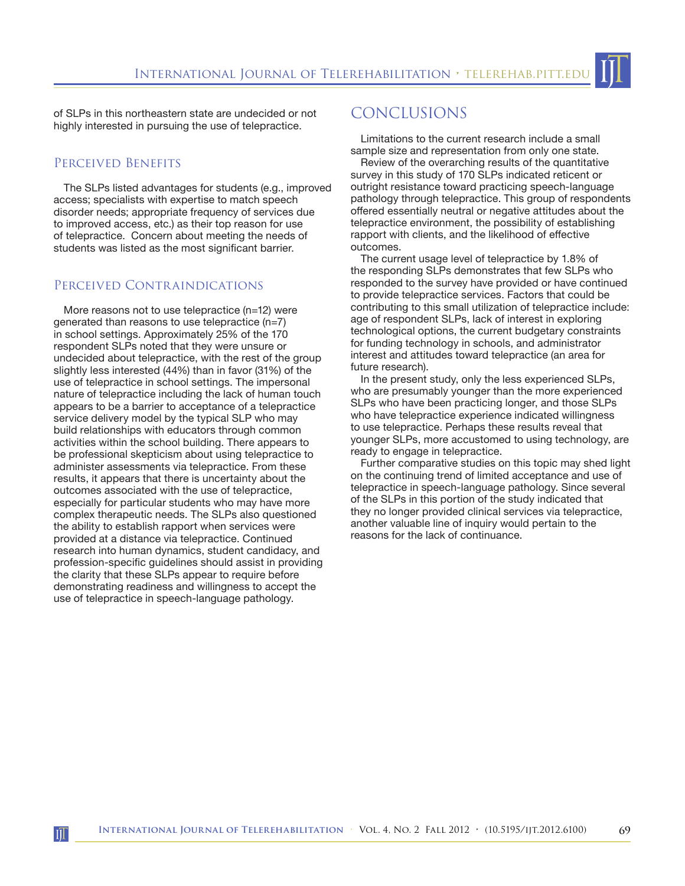of SLPs in this northeastern state are undecided or not highly interested in pursuing the use of telepractice.

## Perceived Benefits

III

The SLPs listed advantages for students (e.g., improved access; specialists with expertise to match speech disorder needs; appropriate frequency of services due to improved access, etc.) as their top reason for use of telepractice. Concern about meeting the needs of students was listed as the most significant barrier.

### PERCEIVED CONTRAINDICATIONS

More reasons not to use telepractice (n=12) were generated than reasons to use telepractice (n=7) in school settings. Approximately 25% of the 170 respondent SLPs noted that they were unsure or undecided about telepractice, with the rest of the group slightly less interested (44%) than in favor (31%) of the use of telepractice in school settings. The impersonal nature of telepractice including the lack of human touch appears to be a barrier to acceptance of a telepractice service delivery model by the typical SLP who may build relationships with educators through common activities within the school building. There appears to be professional skepticism about using telepractice to administer assessments via telepractice. From these results, it appears that there is uncertainty about the outcomes associated with the use of telepractice, especially for particular students who may have more complex therapeutic needs. The SLPs also questioned the ability to establish rapport when services were provided at a distance via telepractice. Continued research into human dynamics, student candidacy, and profession-specific guidelines should assist in providing the clarity that these SLPs appear to require before demonstrating readiness and willingness to accept the use of telepractice in speech-language pathology.

# **CONCLUSIONS**

Limitations to the current research include a small sample size and representation from only one state.

Review of the overarching results of the quantitative survey in this study of 170 SLPs indicated reticent or outright resistance toward practicing speech-language pathology through telepractice. This group of respondents offered essentially neutral or negative attitudes about the telepractice environment, the possibility of establishing rapport with clients, and the likelihood of effective outcomes.

The current usage level of telepractice by 1.8% of the responding SLPs demonstrates that few SLPs who responded to the survey have provided or have continued to provide telepractice services. Factors that could be contributing to this small utilization of telepractice include: age of respondent SLPs, lack of interest in exploring technological options, the current budgetary constraints for funding technology in schools, and administrator interest and attitudes toward telepractice (an area for future research).

In the present study, only the less experienced SLPs, who are presumably younger than the more experienced SLPs who have been practicing longer, and those SLPs who have telepractice experience indicated willingness to use telepractice. Perhaps these results reveal that younger SLPs, more accustomed to using technology, are ready to engage in telepractice.

Further comparative studies on this topic may shed light on the continuing trend of limited acceptance and use of telepractice in speech-language pathology. Since several of the SLPs in this portion of the study indicated that they no longer provided clinical services via telepractice, another valuable line of inquiry would pertain to the reasons for the lack of continuance.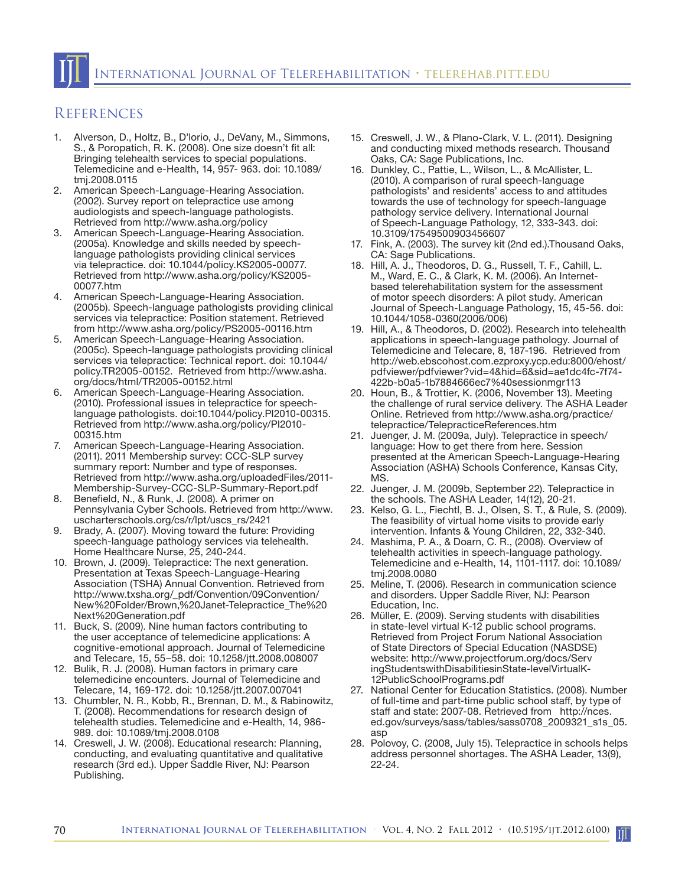# **REFERENCES**

- 1. Alverson, D., Holtz, B., D'lorio, J., DeVany, M., Simmons, S., & Poropatich, R. K. (2008). One size doesn't fit all: Bringing telehealth services to special populations. Telemedicine and e-Health, 14, 957- 963. doi: 10.1089/ tmj.2008.0115
- 2. American Speech-Language-Hearing Association. (2002). Survey report on telepractice use among audiologists and speech-language pathologists. Retrieved from http://www.asha.org/policy
- American Speech-Language-Hearing Association. (2005a). Knowledge and skills needed by speechlanguage pathologists providing clinical services via telepractice. doi: 10.1044/policy.KS2005-00077. Retrieved from http://www.asha.org/policy/KS2005- 00077.htm
- 4. American Speech-Language-Hearing Association. (2005b). Speech-language pathologists providing clinical services via telepractice: Position statement. Retrieved from http://www.asha.org/policy/PS2005-00116.htm
- American Speech-Language-Hearing Association. (2005c). Speech-language pathologists providing clinical services via telepractice: Technical report. doi: 10.1044/ policy.TR2005-00152. Retrieved from http://www.asha. org/docs/html/TR2005-00152.html
- American Speech-Language-Hearing Association. (2010). Professional issues in telepractice for speechlanguage pathologists. doi:10.1044/policy.PI2010-00315. Retrieved from http://www.asha.org/policy/PI2010- 00315.htm
- 7. American Speech-Language-Hearing Association. (2011). 2011 Membership survey: CCC-SLP survey summary report: Number and type of responses. Retrieved from http://www.asha.org/uploadedFiles/2011- Membership-Survey-CCC-SLP-Summary-Report.pdf
- Benefield, N., & Runk, J. (2008). A primer on Pennsylvania Cyber Schools. Retrieved from http://www. uscharterschools.org/cs/r/lpt/uscs\_rs/2421
- Brady, A. (2007). Moving toward the future: Providing speech-language pathology services via telehealth. Home Healthcare Nurse, 25, 240-244.
- 10. Brown, J. (2009). Telepractice: The next generation. Presentation at Texas Speech-Language-Hearing Association (TSHA) Annual Convention. Retrieved from http://www.txsha.org/\_pdf/Convention/09Convention/ New%20Folder/Brown,%20Janet-Telepractice\_The%20 Next%20Generation.pdf
- 11. Buck, S. (2009). Nine human factors contributing to the user acceptance of telemedicine applications: A cognitive-emotional approach. Journal of Telemedicine and Telecare, 15, 55–58. doi: 10.1258/jtt.2008.008007
- 12. Bulik, R. J. (2008). Human factors in primary care telemedicine encounters. Journal of Telemedicine and Telecare, 14, 169-172. doi: 10.1258/jtt.2007.007041
- 13. Chumbler, N. R., Kobb, R., Brennan, D. M., & Rabinowitz, T. (2008). Recommendations for research design of telehealth studies. Telemedicine and e-Health, 14, 986- 989. doi: 10.1089/tmj.2008.0108
- 14. Creswell, J. W. (2008). Educational research: Planning, conducting, and evaluating quantitative and qualitative research (3rd ed.). Upper Saddle River, NJ: Pearson Publishing.
- 15. Creswell, J. W., & Plano-Clark, V. L. (2011). Designing and conducting mixed methods research. Thousand Oaks, CA: Sage Publications, Inc.
- 16. Dunkley, C., Pattie, L., Wilson, L., & McAllister, L. (2010). A comparison of rural speech-language pathologists' and residents' access to and attitudes towards the use of technology for speech-language pathology service delivery. International Journal of Speech-Language Pathology, 12, 333-343. doi: 10.3109/17549500903456607
- 17. Fink, A. (2003). The survey kit (2nd ed.).Thousand Oaks, CA: Sage Publications.
- 18. Hill, A. J., Theodoros, D. G., Russell, T. F., Cahill, L. M., Ward, E. C., & Clark, K. M. (2006). An Internetbased telerehabilitation system for the assessment of motor speech disorders: A pilot study. American Journal of Speech-Language Pathology, 15, 45-56. doi: 10.1044/1058-0360(2006/006)
- 19. Hill, A., & Theodoros, D. (2002). Research into telehealth applications in speech-language pathology. Journal of Telemedicine and Telecare, 8, 187-196. Retrieved from http://web.ebscohost.com.ezproxy.ycp.edu:8000/ehost/ pdfviewer/pdfviewer?vid=4&hid=6&sid=ae1dc4fc-7f74- 422b-b0a5-1b7884666ec7%40sessionmgr113
- 20. Houn, B., & Trottier, K. (2006, November 13). Meeting the challenge of rural service delivery. The ASHA Leader Online. Retrieved from http://www.asha.org/practice/ telepractice/TelepracticeReferences.htm
- 21. Juenger, J. M. (2009a, July). Telepractice in speech/ language: How to get there from here. Session presented at the American Speech-Language-Hearing Association (ASHA) Schools Conference, Kansas City, MS.
- 22. Juenger, J. M. (2009b, September 22). Telepractice in the schools. The ASHA Leader, 14(12), 20-21.
- 23. Kelso, G. L., Fiechtl, B. J., Olsen, S. T., & Rule, S. (2009). The feasibility of virtual home visits to provide early intervention. Infants & Young Children, 22, 332-340.
- 24. Mashima, P. A., & Doarn, C. R., (2008). Overview of telehealth activities in speech-language pathology. Telemedicine and e-Health, 14, 1101-1117. doi: 10.1089/ tmj.2008.0080
- 25. Meline, T. (2006). Research in communication science and disorders. Upper Saddle River, NJ: Pearson Education, Inc.
- 26. Müller, E. (2009). Serving students with disabilities in state-level virtual K-12 public school programs. Retrieved from Project Forum National Association of State Directors of Special Education (NASDSE) website: http://www.projectforum.org/docs/Serv ingStudentswithDisabilitiesinState-levelVirtualK-12PublicSchoolPrograms.pdf
- 27. National Center for Education Statistics. (2008). Number of full-time and part-time public school staff, by type of staff and state: 2007-08. Retrieved from http://nces. ed.gov/surveys/sass/tables/sass0708\_2009321\_s1s\_05. asp
- 28. Polovoy, C. (2008, July 15). Telepractice in schools helps address personnel shortages. The ASHA Leader, 13(9), 22-24.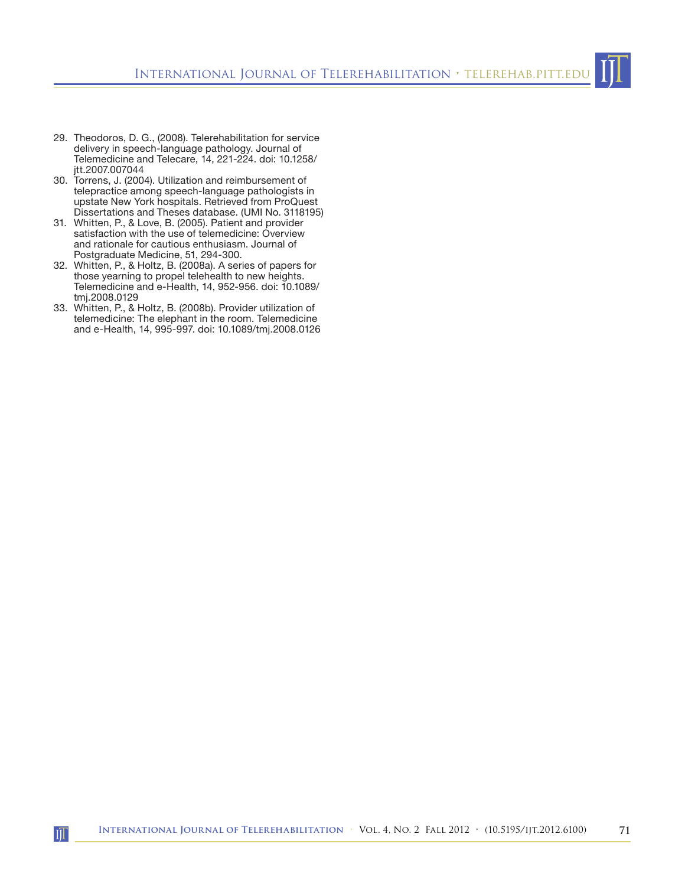- 29. Theodoros, D. G., (2008). Telerehabilitation for service delivery in speech-language pathology. Journal of Telemedicine and Telecare, 14, 221-224. doi: 10.1258/ jtt.2007.007044
- 30. Torrens, J. (2004). Utilization and reimbursement of telepractice among speech-language pathologists in upstate New York hospitals. Retrieved from ProQuest Dissertations and Theses database. (UMI No. 3118195)
- 31. Whitten, P., & Love, B. (2005). Patient and provider satisfaction with the use of telemedicine: Overview and rationale for cautious enthusiasm. Journal of Postgraduate Medicine, 51, 294-300.
- 32. Whitten, P., & Holtz, B. (2008a). A series of papers for those yearning to propel telehealth to new heights. Telemedicine and e-Health, 14, 952-956. doi: 10.1089/ tmj.2008.0129
- 33. Whitten, P., & Holtz, B. (2008b). Provider utilization of telemedicine: The elephant in the room. Telemedicine and e-Health, 14, 995-997. doi: 10.1089/tmj.2008.0126

 $\prod$